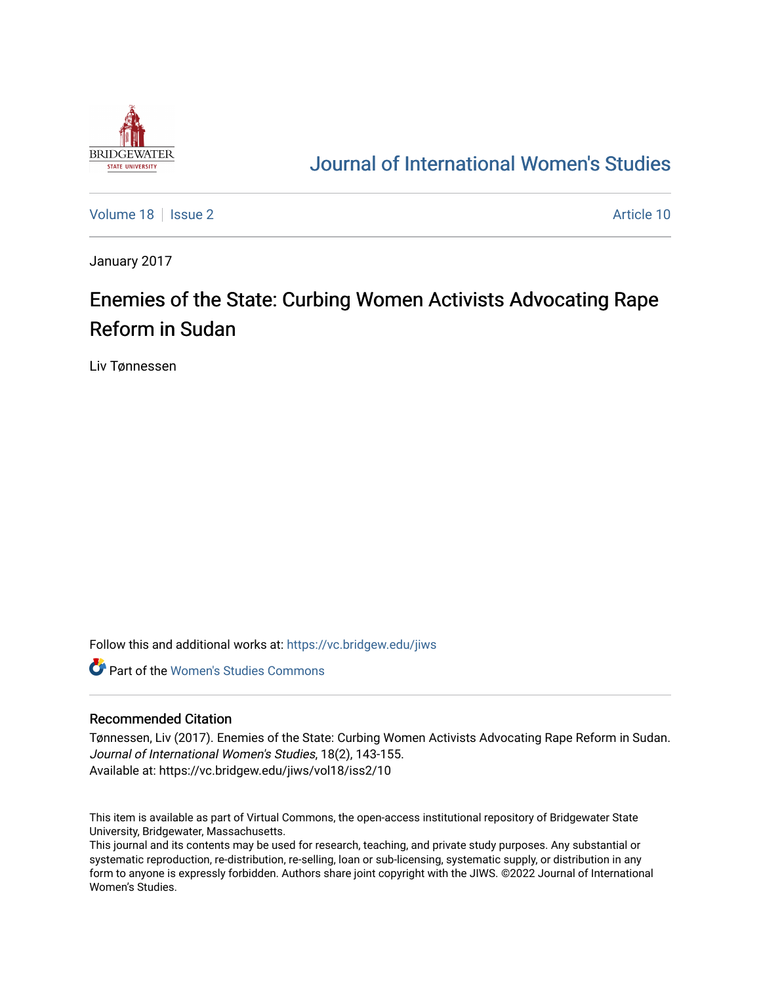

## [Journal of International Women's Studies](https://vc.bridgew.edu/jiws)

[Volume 18](https://vc.bridgew.edu/jiws/vol18) | [Issue 2](https://vc.bridgew.edu/jiws/vol18/iss2) Article 10

January 2017

# Enemies of the State: Curbing Women Activists Advocating Rape Reform in Sudan

Liv Tønnessen

Follow this and additional works at: [https://vc.bridgew.edu/jiws](https://vc.bridgew.edu/jiws?utm_source=vc.bridgew.edu%2Fjiws%2Fvol18%2Fiss2%2F10&utm_medium=PDF&utm_campaign=PDFCoverPages)

**C** Part of the Women's Studies Commons

#### Recommended Citation

Tønnessen, Liv (2017). Enemies of the State: Curbing Women Activists Advocating Rape Reform in Sudan. Journal of International Women's Studies, 18(2), 143-155. Available at: https://vc.bridgew.edu/jiws/vol18/iss2/10

This item is available as part of Virtual Commons, the open-access institutional repository of Bridgewater State University, Bridgewater, Massachusetts.

This journal and its contents may be used for research, teaching, and private study purposes. Any substantial or systematic reproduction, re-distribution, re-selling, loan or sub-licensing, systematic supply, or distribution in any form to anyone is expressly forbidden. Authors share joint copyright with the JIWS. ©2022 Journal of International Women's Studies.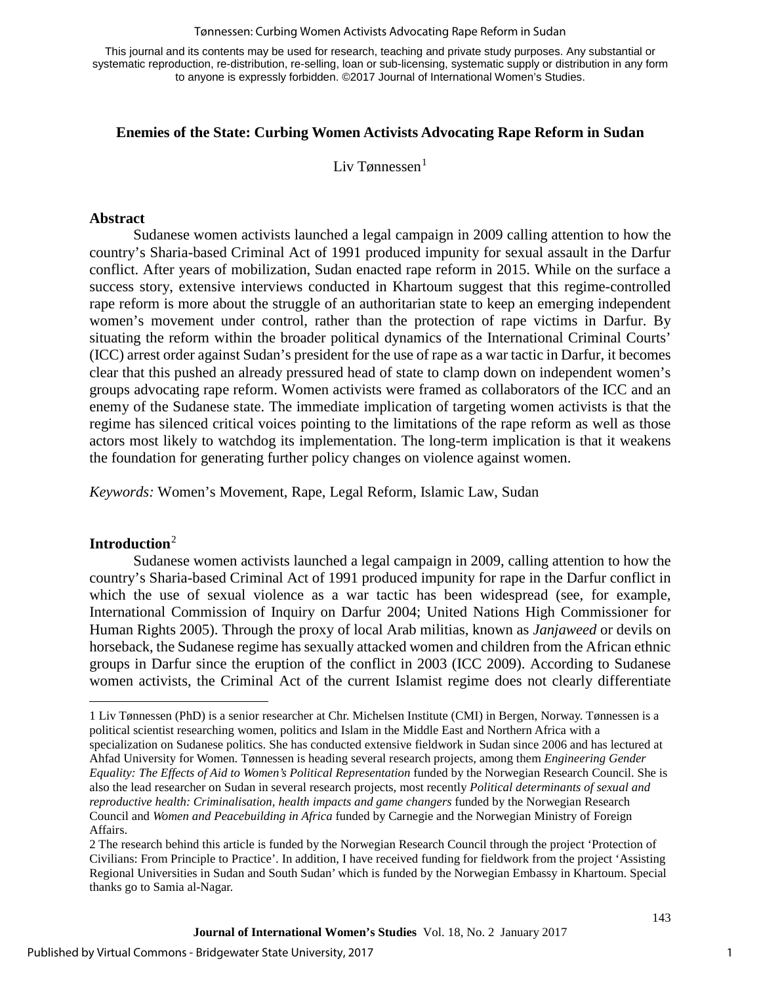#### Tønnessen: Curbing Women Activists Advocating Rape Reform in Sudan

This journal and its contents may be used for research, teaching and private study purposes. Any substantial or systematic reproduction, re-distribution, re-selling, loan or sub-licensing, systematic supply or distribution in any form to anyone is expressly forbidden. ©2017 Journal of International Women's Studies.

## **Enemies of the State: Curbing Women Activists Advocating Rape Reform in Sudan**

Liv Tønnessen $<sup>1</sup>$  $<sup>1</sup>$  $<sup>1</sup>$ </sup>

#### **Abstract**

Sudanese women activists launched a legal campaign in 2009 calling attention to how the country's Sharia-based Criminal Act of 1991 produced impunity for sexual assault in the Darfur conflict. After years of mobilization, Sudan enacted rape reform in 2015. While on the surface a success story, extensive interviews conducted in Khartoum suggest that this regime-controlled rape reform is more about the struggle of an authoritarian state to keep an emerging independent women's movement under control, rather than the protection of rape victims in Darfur. By situating the reform within the broader political dynamics of the International Criminal Courts' (ICC) arrest order against Sudan's president for the use of rape as a war tactic in Darfur, it becomes clear that this pushed an already pressured head of state to clamp down on independent women's groups advocating rape reform. Women activists were framed as collaborators of the ICC and an enemy of the Sudanese state. The immediate implication of targeting women activists is that the regime has silenced critical voices pointing to the limitations of the rape reform as well as those actors most likely to watchdog its implementation. The long-term implication is that it weakens the foundation for generating further policy changes on violence against women.

*Keywords:* Women's Movement, Rape, Legal Reform, Islamic Law, Sudan

#### **Introduction**[2](#page-1-1)

 $\overline{a}$ 

Sudanese women activists launched a legal campaign in 2009, calling attention to how the country's Sharia-based Criminal Act of 1991 produced impunity for rape in the Darfur conflict in which the use of sexual violence as a war tactic has been widespread (see, for example, International Commission of Inquiry on Darfur 2004; United Nations High Commissioner for Human Rights 2005). Through the proxy of local Arab militias, known as *Janjaweed* or devils on horseback, the Sudanese regime has sexually attacked women and children from the African ethnic groups in Darfur since the eruption of the conflict in 2003 (ICC 2009). According to Sudanese women activists, the Criminal Act of the current Islamist regime does not clearly differentiate

1

<span id="page-1-0"></span><sup>1</sup> Liv Tønnessen (PhD) is a senior researcher at Chr. Michelsen Institute (CMI) in Bergen, Norway. Tønnessen is a political scientist researching women, politics and Islam in the Middle East and Northern Africa with a specialization on Sudanese politics. She has conducted extensive fieldwork in Sudan since 2006 and has lectured at Ahfad University for Women. Tønnessen is heading several research projects, among them *Engineering Gender Equality: The Effects of Aid to Women's Political Representation* funded by the Norwegian Research Council. She is also the lead researcher on Sudan in several research projects, most recently *Political determinants of sexual and reproductive health: Criminalisation, health impacts and game changers* funded by the Norwegian Research Council and *Women and Peacebuilding in Africa* funded by Carnegie and the Norwegian Ministry of Foreign Affairs.

<span id="page-1-1"></span><sup>2</sup> The research behind this article is funded by the Norwegian Research Council through the project 'Protection of Civilians: From Principle to Practice'. In addition, I have received funding for fieldwork from the project 'Assisting Regional Universities in Sudan and South Sudan' which is funded by the Norwegian Embassy in Khartoum. Special thanks go to Samia al-Nagar.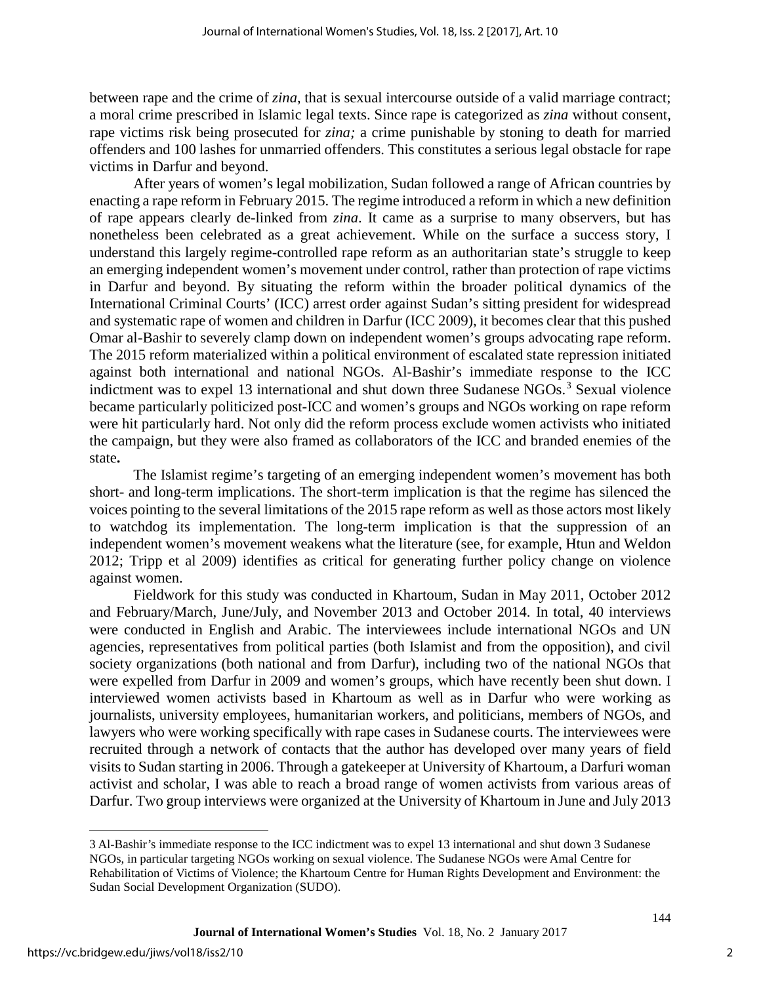between rape and the crime of *zina*, that is sexual intercourse outside of a valid marriage contract; a moral crime prescribed in Islamic legal texts. Since rape is categorized as *zina* without consent, rape victims risk being prosecuted for *zina;* a crime punishable by stoning to death for married offenders and 100 lashes for unmarried offenders. This constitutes a serious legal obstacle for rape victims in Darfur and beyond.

After years of women's legal mobilization, Sudan followed a range of African countries by enacting a rape reform in February 2015. The regime introduced a reform in which a new definition of rape appears clearly de-linked from *zina*. It came as a surprise to many observers, but has nonetheless been celebrated as a great achievement. While on the surface a success story, I understand this largely regime-controlled rape reform as an authoritarian state's struggle to keep an emerging independent women's movement under control, rather than protection of rape victims in Darfur and beyond. By situating the reform within the broader political dynamics of the International Criminal Courts' (ICC) arrest order against Sudan's sitting president for widespread and systematic rape of women and children in Darfur (ICC 2009), it becomes clear that this pushed Omar al-Bashir to severely clamp down on independent women's groups advocating rape reform. The 2015 reform materialized within a political environment of escalated state repression initiated against both international and national NGOs. Al-Bashir's immediate response to the ICC indictment was to expel 1[3](#page-2-0) international and shut down three Sudanese NGOs.<sup>3</sup> Sexual violence became particularly politicized post-ICC and women's groups and NGOs working on rape reform were hit particularly hard. Not only did the reform process exclude women activists who initiated the campaign, but they were also framed as collaborators of the ICC and branded enemies of the state**.**

The Islamist regime's targeting of an emerging independent women's movement has both short- and long-term implications. The short-term implication is that the regime has silenced the voices pointing to the several limitations of the 2015 rape reform as well as those actors most likely to watchdog its implementation. The long-term implication is that the suppression of an independent women's movement weakens what the literature (see, for example, Htun and Weldon 2012; Tripp et al 2009) identifies as critical for generating further policy change on violence against women.

Fieldwork for this study was conducted in Khartoum, Sudan in May 2011, October 2012 and February/March, June/July, and November 2013 and October 2014. In total, 40 interviews were conducted in English and Arabic. The interviewees include international NGOs and UN agencies, representatives from political parties (both Islamist and from the opposition), and civil society organizations (both national and from Darfur), including two of the national NGOs that were expelled from Darfur in 2009 and women's groups, which have recently been shut down. I interviewed women activists based in Khartoum as well as in Darfur who were working as journalists, university employees, humanitarian workers, and politicians, members of NGOs, and lawyers who were working specifically with rape cases in Sudanese courts. The interviewees were recruited through a network of contacts that the author has developed over many years of field visits to Sudan starting in 2006. Through a gatekeeper at University of Khartoum, a Darfuri woman activist and scholar, I was able to reach a broad range of women activists from various areas of Darfur. Two group interviews were organized at the University of Khartoum in June and July 2013

 $\overline{a}$ 

<span id="page-2-0"></span><sup>3</sup> Al-Bashir's immediate response to the ICC indictment was to expel 13 international and shut down 3 Sudanese NGOs, in particular targeting NGOs working on sexual violence. The Sudanese NGOs were Amal Centre for Rehabilitation of Victims of Violence; the Khartoum Centre for Human Rights Development and Environment: the Sudan Social Development Organization (SUDO).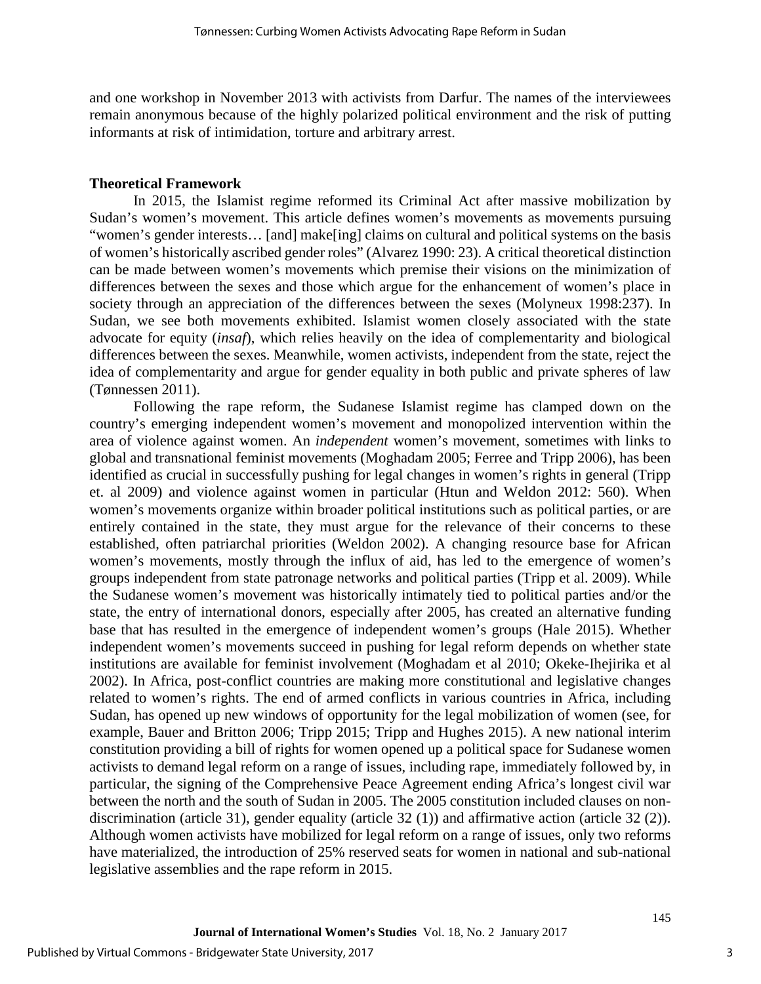and one workshop in November 2013 with activists from Darfur. The names of the interviewees remain anonymous because of the highly polarized political environment and the risk of putting informants at risk of intimidation, torture and arbitrary arrest.

#### **Theoretical Framework**

In 2015, the Islamist regime reformed its Criminal Act after massive mobilization by Sudan's women's movement. This article defines women's movements as movements pursuing "women's gender interests… [and] make[ing] claims on cultural and political systems on the basis of women's historically ascribed gender roles" (Alvarez 1990: 23). A critical theoretical distinction can be made between women's movements which premise their visions on the minimization of differences between the sexes and those which argue for the enhancement of women's place in society through an appreciation of the differences between the sexes (Molyneux 1998:237). In Sudan, we see both movements exhibited. Islamist women closely associated with the state advocate for equity (*insaf*), which relies heavily on the idea of complementarity and biological differences between the sexes. Meanwhile, women activists, independent from the state, reject the idea of complementarity and argue for gender equality in both public and private spheres of law (Tønnessen 2011).

Following the rape reform, the Sudanese Islamist regime has clamped down on the country's emerging independent women's movement and monopolized intervention within the area of violence against women. An *independent* women's movement, sometimes with links to global and transnational feminist movements (Moghadam 2005; Ferree and Tripp 2006), has been identified as crucial in successfully pushing for legal changes in women's rights in general (Tripp et. al 2009) and violence against women in particular (Htun and Weldon 2012: 560). When women's movements organize within broader political institutions such as political parties, or are entirely contained in the state, they must argue for the relevance of their concerns to these established, often patriarchal priorities (Weldon 2002). A changing resource base for African women's movements, mostly through the influx of aid, has led to the emergence of women's groups independent from state patronage networks and political parties (Tripp et al. 2009). While the Sudanese women's movement was historically intimately tied to political parties and/or the state, the entry of international donors, especially after 2005, has created an alternative funding base that has resulted in the emergence of independent women's groups (Hale 2015). Whether independent women's movements succeed in pushing for legal reform depends on whether state institutions are available for feminist involvement (Moghadam et al 2010; Okeke-Ihejirika et al 2002). In Africa, post-conflict countries are making more constitutional and legislative changes related to women's rights. The end of armed conflicts in various countries in Africa, including Sudan, has opened up new windows of opportunity for the legal mobilization of women (see, for example, Bauer and Britton 2006; Tripp 2015; Tripp and Hughes 2015). A new national interim constitution providing a bill of rights for women opened up a political space for Sudanese women activists to demand legal reform on a range of issues, including rape, immediately followed by, in particular, the signing of the Comprehensive Peace Agreement ending Africa's longest civil war between the north and the south of Sudan in 2005. The 2005 constitution included clauses on nondiscrimination (article 31), gender equality (article 32 (1)) and affirmative action (article 32 (2)). Although women activists have mobilized for legal reform on a range of issues, only two reforms have materialized, the introduction of 25% reserved seats for women in national and sub-national legislative assemblies and the rape reform in 2015.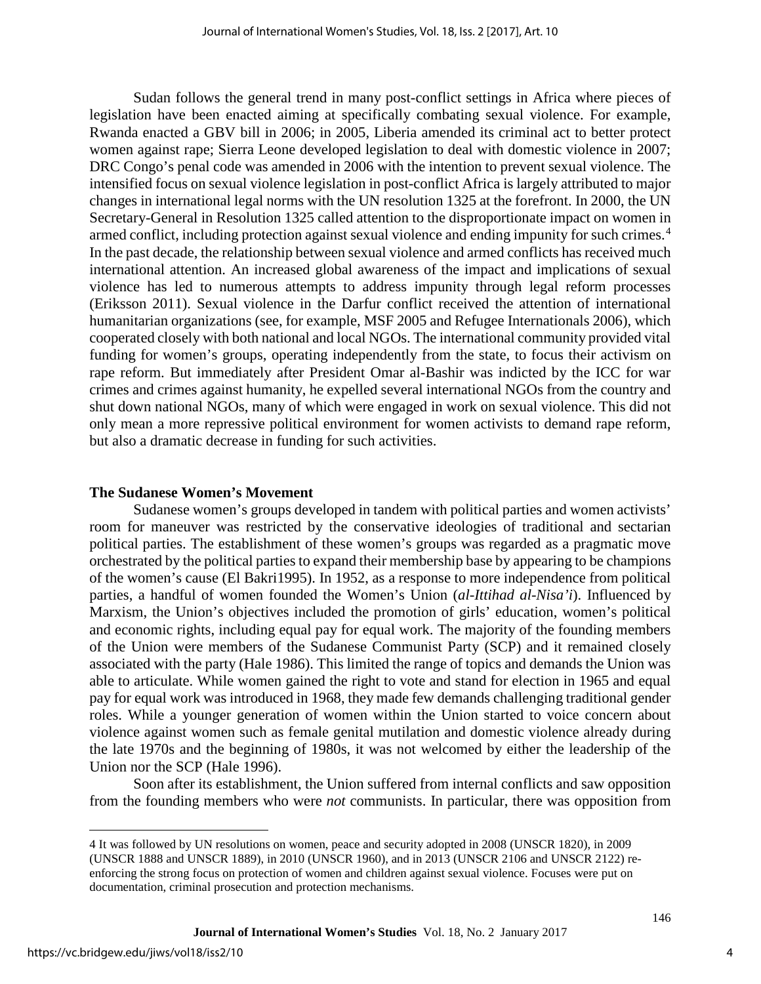Sudan follows the general trend in many post-conflict settings in Africa where pieces of legislation have been enacted aiming at specifically combating sexual violence. For example, Rwanda enacted a GBV bill in 2006; in 2005, Liberia amended its criminal act to better protect women against rape; Sierra Leone developed legislation to deal with domestic violence in 2007; DRC Congo's penal code was amended in 2006 with the intention to prevent sexual violence. The intensified focus on sexual violence legislation in post-conflict Africa is largely attributed to major changes in international legal norms with the UN resolution 1325 at the forefront. In 2000, the UN Secretary-General in Resolution 1325 called attention to the disproportionate impact on women in armed conflict, including protection against sexual violence and ending impunity for such crimes.[4](#page-4-0) In the past decade, the relationship between sexual violence and armed conflicts has received much international attention. An increased global awareness of the impact and implications of sexual violence has led to numerous attempts to address impunity through legal reform processes (Eriksson 2011). Sexual violence in the Darfur conflict received the attention of international humanitarian organizations (see, for example, MSF 2005 and Refugee Internationals 2006), which cooperated closely with both national and local NGOs. The international community provided vital funding for women's groups, operating independently from the state, to focus their activism on rape reform. But immediately after President Omar al-Bashir was indicted by the ICC for war crimes and crimes against humanity, he expelled several international NGOs from the country and shut down national NGOs, many of which were engaged in work on sexual violence. This did not only mean a more repressive political environment for women activists to demand rape reform, but also a dramatic decrease in funding for such activities.

#### **The Sudanese Women's Movement**

Sudanese women's groups developed in tandem with political parties and women activists' room for maneuver was restricted by the conservative ideologies of traditional and sectarian political parties. The establishment of these women's groups was regarded as a pragmatic move orchestrated by the political parties to expand their membership base by appearing to be champions of the women's cause (El Bakri1995). In 1952, as a response to more independence from political parties, a handful of women founded the Women's Union (*al-Ittihad al-Nisa'i*). Influenced by Marxism, the Union's objectives included the promotion of girls' education, women's political and economic rights, including equal pay for equal work. The majority of the founding members of the Union were members of the Sudanese Communist Party (SCP) and it remained closely associated with the party (Hale 1986). This limited the range of topics and demands the Union was able to articulate. While women gained the right to vote and stand for election in 1965 and equal pay for equal work was introduced in 1968, they made few demands challenging traditional gender roles. While a younger generation of women within the Union started to voice concern about violence against women such as female genital mutilation and domestic violence already during the late 1970s and the beginning of 1980s, it was not welcomed by either the leadership of the Union nor the SCP (Hale 1996).

Soon after its establishment, the Union suffered from internal conflicts and saw opposition from the founding members who were *not* communists. In particular, there was opposition from

 $\overline{a}$ 

<span id="page-4-0"></span><sup>4</sup> It was followed by UN resolutions on women, peace and security adopted in 2008 (UNSCR 1820), in 2009 (UNSCR 1888 and UNSCR 1889), in 2010 (UNSCR 1960), and in 2013 (UNSCR 2106 and UNSCR 2122) reenforcing the strong focus on protection of women and children against sexual violence. Focuses were put on documentation, criminal prosecution and protection mechanisms.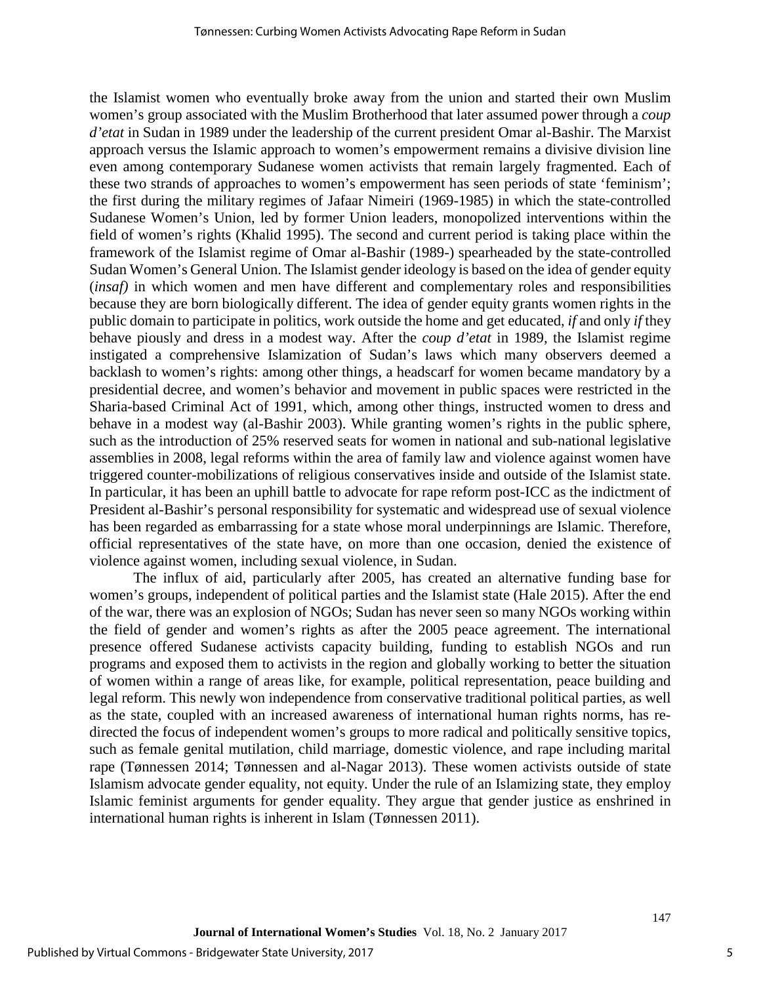the Islamist women who eventually broke away from the union and started their own Muslim women's group associated with the Muslim Brotherhood that later assumed power through a *coup d'etat* in Sudan in 1989 under the leadership of the current president Omar al-Bashir. The Marxist approach versus the Islamic approach to women's empowerment remains a divisive division line even among contemporary Sudanese women activists that remain largely fragmented. Each of these two strands of approaches to women's empowerment has seen periods of state 'feminism'; the first during the military regimes of Jafaar Nimeiri (1969-1985) in which the state-controlled Sudanese Women's Union, led by former Union leaders, monopolized interventions within the field of women's rights (Khalid 1995). The second and current period is taking place within the framework of the Islamist regime of Omar al-Bashir (1989-) spearheaded by the state-controlled Sudan Women's General Union. The Islamist gender ideology is based on the idea of gender equity (*insaf)* in which women and men have different and complementary roles and responsibilities because they are born biologically different. The idea of gender equity grants women rights in the public domain to participate in politics, work outside the home and get educated, *if* and only *if* they behave piously and dress in a modest way. After the *coup d'etat* in 1989, the Islamist regime instigated a comprehensive Islamization of Sudan's laws which many observers deemed a backlash to women's rights: among other things, a headscarf for women became mandatory by a presidential decree, and women's behavior and movement in public spaces were restricted in the Sharia-based Criminal Act of 1991, which, among other things, instructed women to dress and behave in a modest way (al-Bashir 2003). While granting women's rights in the public sphere, such as the introduction of 25% reserved seats for women in national and sub-national legislative assemblies in 2008, legal reforms within the area of family law and violence against women have triggered counter-mobilizations of religious conservatives inside and outside of the Islamist state. In particular, it has been an uphill battle to advocate for rape reform post-ICC as the indictment of President al-Bashir's personal responsibility for systematic and widespread use of sexual violence has been regarded as embarrassing for a state whose moral underpinnings are Islamic. Therefore, official representatives of the state have, on more than one occasion, denied the existence of violence against women, including sexual violence, in Sudan.

The influx of aid, particularly after 2005, has created an alternative funding base for women's groups, independent of political parties and the Islamist state (Hale 2015). After the end of the war, there was an explosion of NGOs; Sudan has never seen so many NGOs working within the field of gender and women's rights as after the 2005 peace agreement. The international presence offered Sudanese activists capacity building, funding to establish NGOs and run programs and exposed them to activists in the region and globally working to better the situation of women within a range of areas like, for example, political representation, peace building and legal reform. This newly won independence from conservative traditional political parties, as well as the state, coupled with an increased awareness of international human rights norms, has redirected the focus of independent women's groups to more radical and politically sensitive topics, such as female genital mutilation, child marriage, domestic violence, and rape including marital rape (Tønnessen 2014; Tønnessen and al-Nagar 2013). These women activists outside of state Islamism advocate gender equality, not equity. Under the rule of an Islamizing state, they employ Islamic feminist arguments for gender equality. They argue that gender justice as enshrined in international human rights is inherent in Islam (Tønnessen 2011).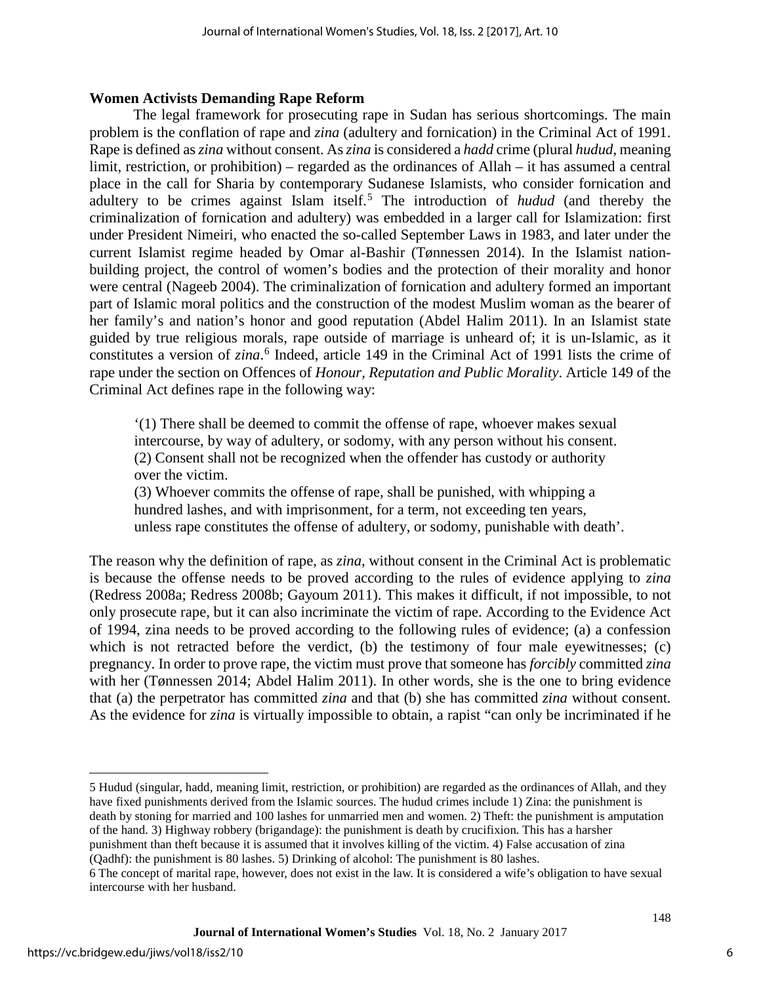#### **Women Activists Demanding Rape Reform**

The legal framework for prosecuting rape in Sudan has serious shortcomings. The main problem is the conflation of rape and *zina* (adultery and fornication) in the Criminal Act of 1991. Rape is defined as *zina* without consent. As *zina* is considered a *hadd* crime (plural *hudud*, meaning limit, restriction, or prohibition) – regarded as the ordinances of Allah – it has assumed a central place in the call for Sharia by contemporary Sudanese Islamists, who consider fornication and adultery to be crimes against Islam itself.<sup>[5](#page-6-0)</sup> The introduction of *hudud* (and thereby the criminalization of fornication and adultery) was embedded in a larger call for Islamization: first under President Nimeiri, who enacted the so-called September Laws in 1983, and later under the current Islamist regime headed by Omar al-Bashir (Tønnessen 2014). In the Islamist nationbuilding project, the control of women's bodies and the protection of their morality and honor were central (Nageeb 2004). The criminalization of fornication and adultery formed an important part of Islamic moral politics and the construction of the modest Muslim woman as the bearer of her family's and nation's honor and good reputation (Abdel Halim 2011). In an Islamist state guided by true religious morals, rape outside of marriage is unheard of; it is un-Islamic, as it constitutes a version of *zina*. [6](#page-6-1) Indeed, article 149 in the Criminal Act of 1991 lists the crime of rape under the section on Offences of *Honour, Reputation and Public Morality*. Article 149 of the Criminal Act defines rape in the following way:

'(1) There shall be deemed to commit the offense of rape, whoever makes sexual intercourse, by way of adultery, or sodomy, with any person without his consent. (2) Consent shall not be recognized when the offender has custody or authority over the victim.

(3) Whoever commits the offense of rape, shall be punished, with whipping a hundred lashes, and with imprisonment, for a term, not exceeding ten years, unless rape constitutes the offense of adultery, or sodomy, punishable with death'.

The reason why the definition of rape, as *zina,* without consent in the Criminal Act is problematic is because the offense needs to be proved according to the rules of evidence applying to *zina*  (Redress 2008a; Redress 2008b; Gayoum 2011). This makes it difficult, if not impossible, to not only prosecute rape, but it can also incriminate the victim of rape. According to the Evidence Act of 1994, zina needs to be proved according to the following rules of evidence; (a) a confession which is not retracted before the verdict, (b) the testimony of four male eyewitnesses; (c) pregnancy. In order to prove rape, the victim must prove that someone has *forcibly* committed *zina*  with her (Tønnessen 2014; Abdel Halim 2011). In other words, she is the one to bring evidence that (a) the perpetrator has committed *zina* and that (b) she has committed *zina* without consent*.*  As the evidence for *zina* is virtually impossible to obtain, a rapist "can only be incriminated if he

<span id="page-6-0"></span>5 Hudud (singular, hadd, meaning limit, restriction, or prohibition) are regarded as the ordinances of Allah, and they have fixed punishments derived from the Islamic sources. The hudud crimes include 1) Zina: the punishment is death by stoning for married and 100 lashes for unmarried men and women. 2) Theft: the punishment is amputation of the hand. 3) Highway robbery (brigandage): the punishment is death by crucifixion. This has a harsher punishment than theft because it is assumed that it involves killing of the victim. 4) False accusation of zina (Qadhf): the punishment is 80 lashes. 5) Drinking of alcohol: The punishment is 80 lashes.

 $\overline{a}$ 

<span id="page-6-1"></span><sup>6</sup> The concept of marital rape, however, does not exist in the law. It is considered a wife's obligation to have sexual intercourse with her husband.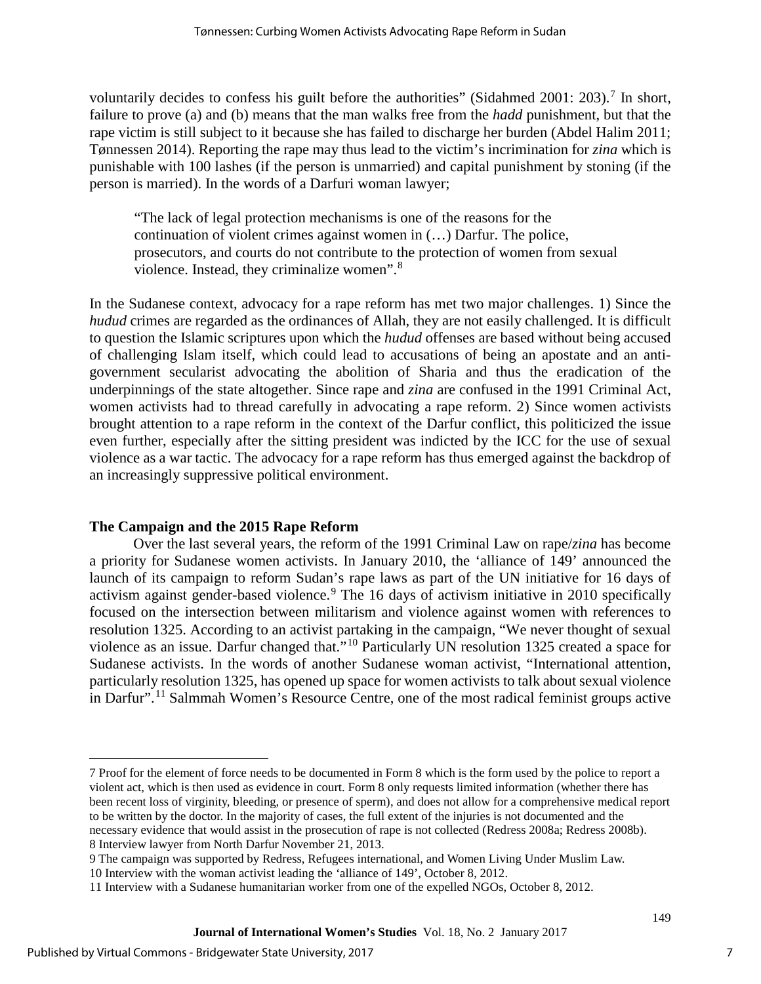voluntarily decides to confess his guilt before the authorities" (Sidahmed 2001: 203).<sup>[7](#page-7-0)</sup> In short, failure to prove (a) and (b) means that the man walks free from the *hadd* punishment, but that the rape victim is still subject to it because she has failed to discharge her burden (Abdel Halim 2011; Tønnessen 2014). Reporting the rape may thus lead to the victim's incrimination for *zina* which is punishable with 100 lashes (if the person is unmarried) and capital punishment by stoning (if the person is married). In the words of a Darfuri woman lawyer;

"The lack of legal protection mechanisms is one of the reasons for the continuation of violent crimes against women in (…) Darfur. The police, prosecutors, and courts do not contribute to the protection of women from sexual violence. Instead, they criminalize women".<sup>[8](#page-7-1)</sup>

In the Sudanese context, advocacy for a rape reform has met two major challenges. 1) Since the *hudud* crimes are regarded as the ordinances of Allah, they are not easily challenged. It is difficult to question the Islamic scriptures upon which the *hudud* offenses are based without being accused of challenging Islam itself, which could lead to accusations of being an apostate and an antigovernment secularist advocating the abolition of Sharia and thus the eradication of the underpinnings of the state altogether. Since rape and *zina* are confused in the 1991 Criminal Act, women activists had to thread carefully in advocating a rape reform. 2) Since women activists brought attention to a rape reform in the context of the Darfur conflict, this politicized the issue even further, especially after the sitting president was indicted by the ICC for the use of sexual violence as a war tactic. The advocacy for a rape reform has thus emerged against the backdrop of an increasingly suppressive political environment.

## **The Campaign and the 2015 Rape Reform**

Over the last several years, the reform of the 1991 Criminal Law on rape/*zina* has become a priority for Sudanese women activists. In January 2010, the 'alliance of 149' announced the launch of its campaign to reform Sudan's rape laws as part of the UN initiative for 16 days of activism against gender-based violence.<sup>[9](#page-7-2)</sup> The 16 days of activism initiative in 2010 specifically focused on the intersection between militarism and violence against women with references to resolution 1325. According to an activist partaking in the campaign, "We never thought of sexual violence as an issue. Darfur changed that."[10](#page-7-3) Particularly UN resolution 1325 created a space for Sudanese activists. In the words of another Sudanese woman activist, "International attention, particularly resolution 1325, has opened up space for women activists to talk about sexual violence in Darfur".[11](#page-7-4) Salmmah Women's Resource Centre, one of the most radical feminist groups active

 $\overline{a}$ 

<span id="page-7-0"></span><sup>7</sup> Proof for the element of force needs to be documented in Form 8 which is the form used by the police to report a violent act, which is then used as evidence in court. Form 8 only requests limited information (whether there has been recent loss of virginity, bleeding, or presence of sperm), and does not allow for a comprehensive medical report to be written by the doctor. In the majority of cases, the full extent of the injuries is not documented and the necessary evidence that would assist in the prosecution of rape is not collected (Redress 2008a; Redress 2008b). 8 Interview lawyer from North Darfur November 21, 2013.

<span id="page-7-3"></span><span id="page-7-2"></span><span id="page-7-1"></span><sup>9</sup> The campaign was supported by Redress, Refugees international, and Women Living Under Muslim Law.

<sup>10</sup> Interview with the woman activist leading the 'alliance of 149', October 8, 2012.

<span id="page-7-4"></span><sup>11</sup> Interview with a Sudanese humanitarian worker from one of the expelled NGOs, October 8, 2012.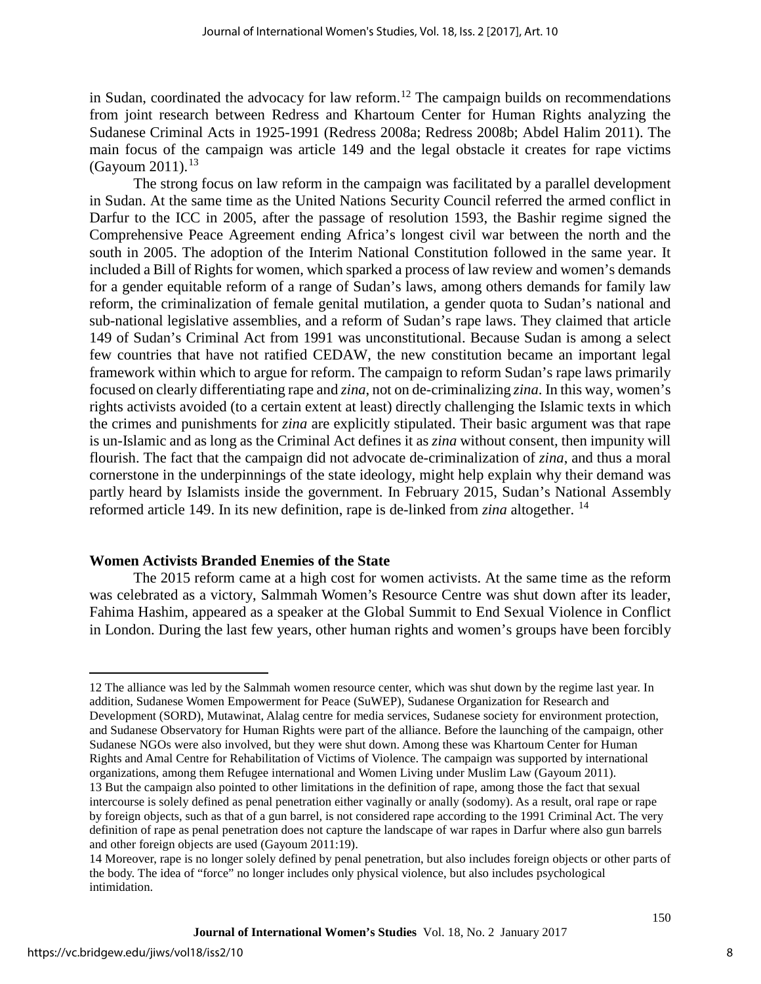in Sudan, coordinated the advocacy for law reform.<sup>[12](#page-8-0)</sup> The campaign builds on recommendations from joint research between Redress and Khartoum Center for Human Rights analyzing the Sudanese Criminal Acts in 1925-1991 (Redress 2008a; Redress 2008b; Abdel Halim 2011). The main focus of the campaign was article 149 and the legal obstacle it creates for rape victims (Gayoum 2011). $^{13}$  $^{13}$  $^{13}$ 

The strong focus on law reform in the campaign was facilitated by a parallel development in Sudan. At the same time as the United Nations Security Council referred the armed conflict in Darfur to the ICC in 2005, after the passage of resolution 1593, the Bashir regime signed the Comprehensive Peace Agreement ending Africa's longest civil war between the north and the south in 2005. The adoption of the Interim National Constitution followed in the same year. It included a Bill of Rights for women, which sparked a process of law review and women's demands for a gender equitable reform of a range of Sudan's laws, among others demands for family law reform, the criminalization of female genital mutilation, a gender quota to Sudan's national and sub-national legislative assemblies, and a reform of Sudan's rape laws. They claimed that article 149 of Sudan's Criminal Act from 1991 was unconstitutional. Because Sudan is among a select few countries that have not ratified CEDAW, the new constitution became an important legal framework within which to argue for reform. The campaign to reform Sudan's rape laws primarily focused on clearly differentiating rape and *zina*, not on de-criminalizing *zina*. In this way, women's rights activists avoided (to a certain extent at least) directly challenging the Islamic texts in which the crimes and punishments for *zina* are explicitly stipulated. Their basic argument was that rape is un-Islamic and as long as the Criminal Act defines it as *zina* without consent, then impunity will flourish. The fact that the campaign did not advocate de-criminalization of *zina*, and thus a moral cornerstone in the underpinnings of the state ideology, might help explain why their demand was partly heard by Islamists inside the government. In February 2015, Sudan's National Assembly reformed article 149. In its new definition, rape is de-linked from *zina* altogether. [14](#page-8-2) 

## **Women Activists Branded Enemies of the State**

The 2015 reform came at a high cost for women activists. At the same time as the reform was celebrated as a victory, Salmmah Women's Resource Centre was shut down after its leader, Fahima Hashim, appeared as a speaker at the Global Summit to End Sexual Violence in Conflict in London. During the last few years, other human rights and women's groups have been forcibly

 $\overline{a}$ 

<span id="page-8-0"></span><sup>12</sup> The alliance was led by the Salmmah women resource center, which was shut down by the regime last year. In addition, Sudanese Women Empowerment for Peace (SuWEP), Sudanese Organization for Research and Development (SORD), Mutawinat, Alalag centre for media services, Sudanese society for environment protection, and Sudanese Observatory for Human Rights were part of the alliance. Before the launching of the campaign, other Sudanese NGOs were also involved, but they were shut down. Among these was Khartoum Center for Human Rights and Amal Centre for Rehabilitation of Victims of Violence. The campaign was supported by international organizations, among them Refugee international and Women Living under Muslim Law (Gayoum 2011). 13 But the campaign also pointed to other limitations in the definition of rape, among those the fact that sexual intercourse is solely defined as penal penetration either vaginally or anally (sodomy). As a result, oral rape or rape by foreign objects, such as that of a gun barrel, is not considered rape according to the 1991 Criminal Act. The very definition of rape as penal penetration does not capture the landscape of war rapes in Darfur where also gun barrels and other foreign objects are used (Gayoum 2011:19).

<span id="page-8-2"></span><span id="page-8-1"></span><sup>14</sup> Moreover, rape is no longer solely defined by penal penetration, but also includes foreign objects or other parts of the body. The idea of "force" no longer includes only physical violence, but also includes psychological intimidation.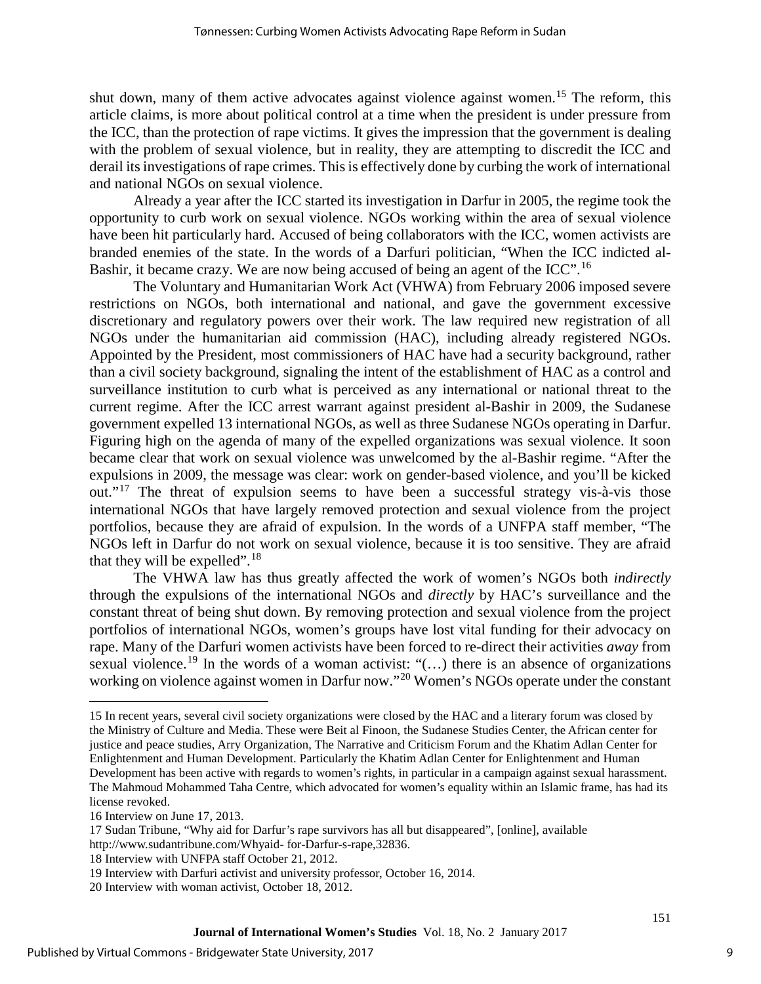shut down, many of them active advocates against violence against women.<sup>[15](#page-9-0)</sup> The reform, this article claims, is more about political control at a time when the president is under pressure from the ICC, than the protection of rape victims. It gives the impression that the government is dealing with the problem of sexual violence, but in reality, they are attempting to discredit the ICC and derail its investigations of rape crimes. This is effectively done by curbing the work of international and national NGOs on sexual violence.

Already a year after the ICC started its investigation in Darfur in 2005, the regime took the opportunity to curb work on sexual violence. NGOs working within the area of sexual violence have been hit particularly hard. Accused of being collaborators with the ICC, women activists are branded enemies of the state. In the words of a Darfuri politician, "When the ICC indicted al-Bashir, it became crazy. We are now being accused of being an agent of the ICC".<sup>[16](#page-9-1)</sup>

The Voluntary and Humanitarian Work Act (VHWA) from February 2006 imposed severe restrictions on NGOs, both international and national, and gave the government excessive discretionary and regulatory powers over their work. The law required new registration of all NGOs under the humanitarian aid commission (HAC), including already registered NGOs. Appointed by the President, most commissioners of HAC have had a security background, rather than a civil society background, signaling the intent of the establishment of HAC as a control and surveillance institution to curb what is perceived as any international or national threat to the current regime. After the ICC arrest warrant against president al-Bashir in 2009, the Sudanese government expelled 13 international NGOs, as well as three Sudanese NGOs operating in Darfur. Figuring high on the agenda of many of the expelled organizations was sexual violence. It soon became clear that work on sexual violence was unwelcomed by the al-Bashir regime. "After the expulsions in 2009, the message was clear: work on gender-based violence, and you'll be kicked out."<sup>[17](#page-9-2)</sup> The threat of expulsion seems to have been a successful strategy vis-à-vis those international NGOs that have largely removed protection and sexual violence from the project portfolios, because they are afraid of expulsion. In the words of a UNFPA staff member, "The NGOs left in Darfur do not work on sexual violence, because it is too sensitive. They are afraid that they will be expelled".<sup>[18](#page-9-3)</sup>

The VHWA law has thus greatly affected the work of women's NGOs both *indirectly* through the expulsions of the international NGOs and *directly* by HAC's surveillance and the constant threat of being shut down. By removing protection and sexual violence from the project portfolios of international NGOs, women's groups have lost vital funding for their advocacy on rape. Many of the Darfuri women activists have been forced to re-direct their activities *away* from sexual violence.<sup>[19](#page-9-4)</sup> In the words of a woman activist: " $(...)$  there is an absence of organizations working on violence against women in Darfur now."<sup>[20](#page-9-5)</sup> Women's NGOs operate under the constant

 $\overline{a}$ 

<span id="page-9-0"></span><sup>15</sup> In recent years, several civil society organizations were closed by the HAC and a literary forum was closed by the Ministry of Culture and Media. These were Beit al Finoon, the Sudanese Studies Center, the African center for justice and peace studies, Arry Organization, The Narrative and Criticism Forum and the Khatim Adlan Center for Enlightenment and Human Development. Particularly the Khatim Adlan Center for Enlightenment and Human Development has been active with regards to women's rights, in particular in a campaign against sexual harassment. The Mahmoud Mohammed Taha Centre, which advocated for women's equality within an Islamic frame, has had its license revoked.

<span id="page-9-1"></span><sup>16</sup> Interview on June 17, 2013.

<span id="page-9-2"></span><sup>17</sup> Sudan Tribune, "Why aid for Darfur's rape survivors has all but disappeared", [online], available [http://www.sudantribune.com/Whyaid- for-Darfur-s-rape,32836.](http://www.sudantribune.com/Whyaid-%20for-Darfur-s-rape,32836)

<span id="page-9-3"></span><sup>18</sup> Interview with UNFPA staff October 21, 2012.

<sup>19</sup> Interview with Darfuri activist and university professor, October 16, 2014.

<span id="page-9-5"></span><span id="page-9-4"></span><sup>20</sup> Interview with woman activist, October 18, 2012.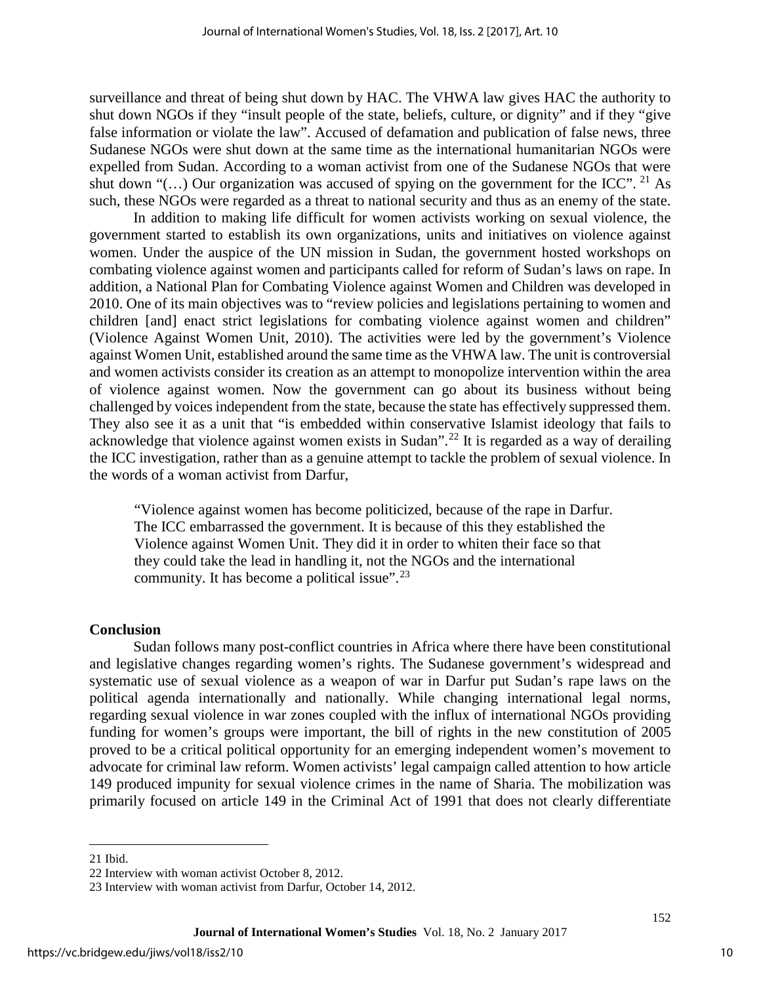surveillance and threat of being shut down by HAC. The VHWA law gives HAC the authority to shut down NGOs if they "insult people of the state, beliefs, culture, or dignity" and if they "give false information or violate the law". Accused of defamation and publication of false news, three Sudanese NGOs were shut down at the same time as the international humanitarian NGOs were expelled from Sudan. According to a woman activist from one of the Sudanese NGOs that were shut down "(...) Our organization was accused of spying on the government for the ICC". <sup>[21](#page-10-0)</sup> As such, these NGOs were regarded as a threat to national security and thus as an enemy of the state.

In addition to making life difficult for women activists working on sexual violence, the government started to establish its own organizations, units and initiatives on violence against women. Under the auspice of the UN mission in Sudan, the government hosted workshops on combating violence against women and participants called for reform of Sudan's laws on rape. In addition, a National Plan for Combating Violence against Women and Children was developed in 2010. One of its main objectives was to "review policies and legislations pertaining to women and children [and] enact strict legislations for combating violence against women and children" (Violence Against Women Unit, 2010). The activities were led by the government's Violence against Women Unit, established around the same time as the VHWA law. The unit is controversial and women activists consider its creation as an attempt to monopolize intervention within the area of violence against women. Now the government can go about its business without being challenged by voices independent from the state, because the state has effectively suppressed them. They also see it as a unit that "is embedded within conservative Islamist ideology that fails to acknowledge that violence against women exists in Sudan".[22](#page-10-1) It is regarded as a way of derailing the ICC investigation, rather than as a genuine attempt to tackle the problem of sexual violence. In the words of a woman activist from Darfur,

"Violence against women has become politicized, because of the rape in Darfur. The ICC embarrassed the government. It is because of this they established the Violence against Women Unit. They did it in order to whiten their face so that they could take the lead in handling it, not the NGOs and the international community. It has become a political issue".[23](#page-10-2)

## **Conclusion**

Sudan follows many post-conflict countries in Africa where there have been constitutional and legislative changes regarding women's rights. The Sudanese government's widespread and systematic use of sexual violence as a weapon of war in Darfur put Sudan's rape laws on the political agenda internationally and nationally. While changing international legal norms, regarding sexual violence in war zones coupled with the influx of international NGOs providing funding for women's groups were important, the bill of rights in the new constitution of 2005 proved to be a critical political opportunity for an emerging independent women's movement to advocate for criminal law reform. Women activists' legal campaign called attention to how article 149 produced impunity for sexual violence crimes in the name of Sharia. The mobilization was primarily focused on article 149 in the Criminal Act of 1991 that does not clearly differentiate

 $\overline{a}$ 

<sup>21</sup> Ibid.

<span id="page-10-1"></span><span id="page-10-0"></span><sup>22</sup> Interview with woman activist October 8, 2012.

<span id="page-10-2"></span><sup>23</sup> Interview with woman activist from Darfur, October 14, 2012.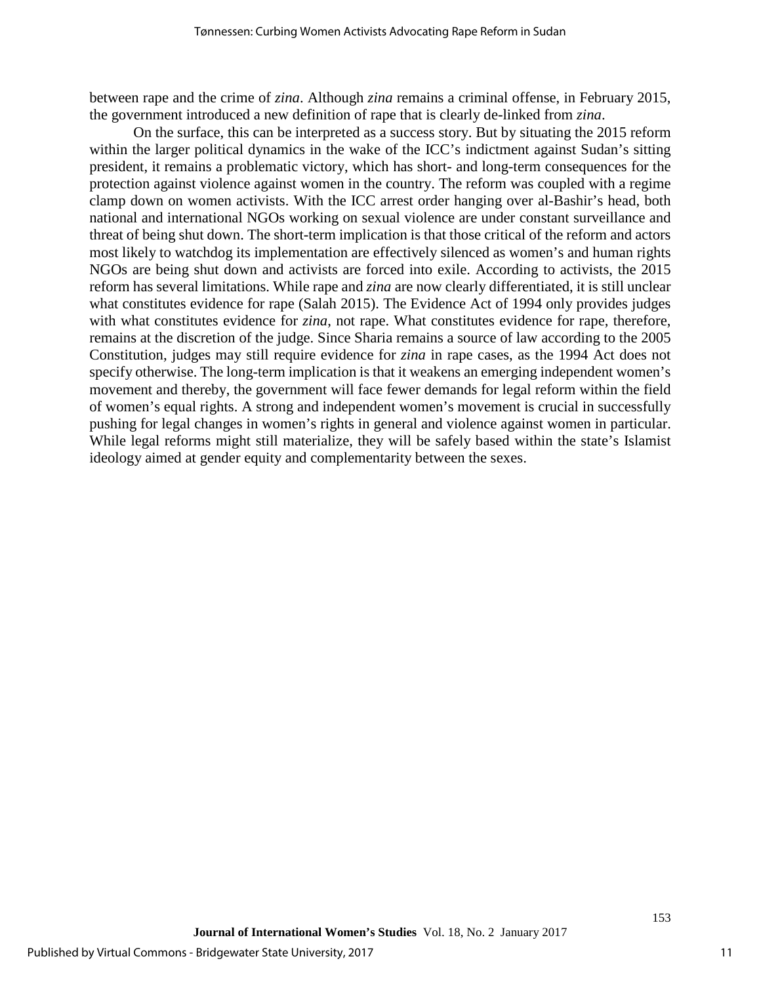between rape and the crime of *zina*. Although *zina* remains a criminal offense, in February 2015, the government introduced a new definition of rape that is clearly de-linked from *zina*.

On the surface, this can be interpreted as a success story. But by situating the 2015 reform within the larger political dynamics in the wake of the ICC's indictment against Sudan's sitting president, it remains a problematic victory, which has short- and long-term consequences for the protection against violence against women in the country. The reform was coupled with a regime clamp down on women activists. With the ICC arrest order hanging over al-Bashir's head, both national and international NGOs working on sexual violence are under constant surveillance and threat of being shut down. The short-term implication is that those critical of the reform and actors most likely to watchdog its implementation are effectively silenced as women's and human rights NGOs are being shut down and activists are forced into exile. According to activists, the 2015 reform has several limitations. While rape and *zina* are now clearly differentiated, it is still unclear what constitutes evidence for rape (Salah 2015). The Evidence Act of 1994 only provides judges with what constitutes evidence for *zina*, not rape. What constitutes evidence for rape, therefore, remains at the discretion of the judge. Since Sharia remains a source of law according to the 2005 Constitution, judges may still require evidence for *zina* in rape cases, as the 1994 Act does not specify otherwise. The long-term implication is that it weakens an emerging independent women's movement and thereby, the government will face fewer demands for legal reform within the field of women's equal rights. A strong and independent women's movement is crucial in successfully pushing for legal changes in women's rights in general and violence against women in particular. While legal reforms might still materialize, they will be safely based within the state's Islamist ideology aimed at gender equity and complementarity between the sexes.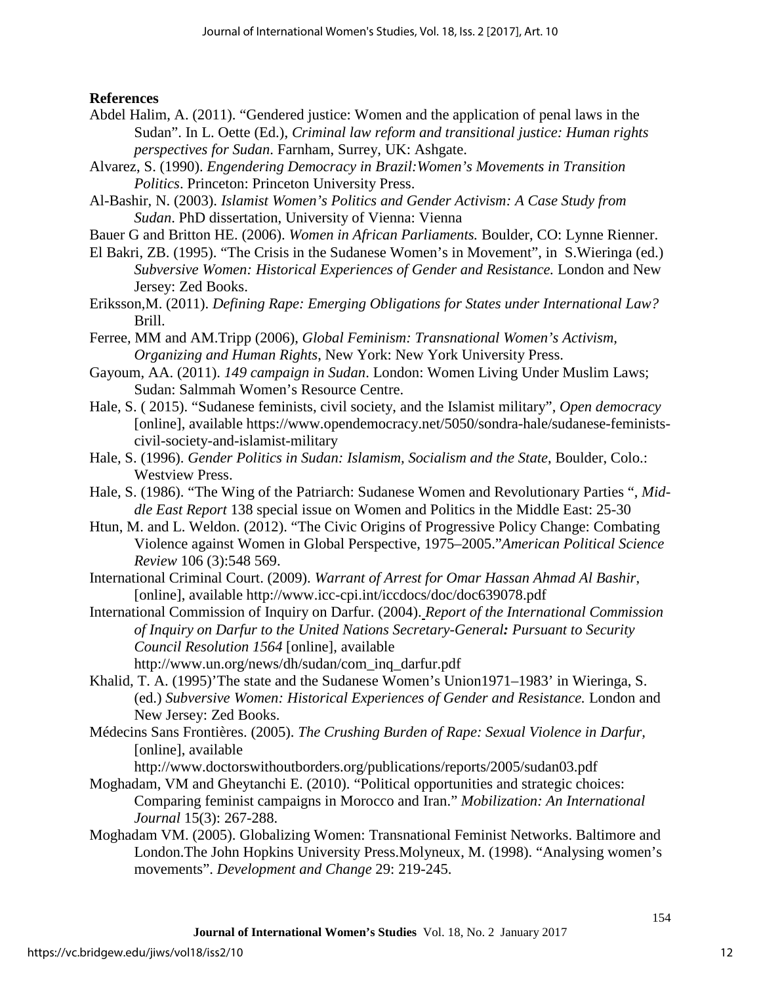**References**

- Abdel Halim, A. (2011). "Gendered justice: Women and the application of penal laws in the Sudan". In L. Oette (Ed.), *Criminal law reform and transitional justice: Human rights perspectives for Sudan*. Farnham, Surrey, UK: Ashgate.
- Alvarez, S. (1990). *Engendering Democracy in Brazil:Women's Movements in Transition Politics*. Princeton: Princeton University Press.
- Al-Bashir, N. (2003). *Islamist Women's Politics and Gender Activism: A Case Study from Sudan*. PhD dissertation, University of Vienna: Vienna
- Bauer G and Britton HE. (2006). *Women in African Parliaments.* Boulder, CO: Lynne Rienner.
- El Bakri, ZB. (1995). "The Crisis in the Sudanese Women's in Movement", in S.Wieringa (ed.) *Subversive Women: Historical Experiences of Gender and Resistance.* London and New Jersey: Zed Books.
- Eriksson,M. (2011). *Defining Rape: Emerging Obligations for States under International Law?* Brill.
- Ferree, MM and AM.Tripp (2006), *Global Feminism: Transnational Women's Activism, Organizing and Human Rights*, New York: New York University Press.
- Gayoum, AA. (2011). *149 campaign in Sudan*. London: Women Living Under Muslim Laws; Sudan: Salmmah Women's Resource Centre.
- Hale, S. ( 2015). "Sudanese feminists, civil society, and the Islamist military", *Open democracy* [online], available https://www.opendemocracy.net/5050/sondra-hale/sudanese-feministscivil-society-and-islamist-military
- Hale, S. (1996). *Gender Politics in Sudan: Islamism, Socialism and the State*, Boulder, Colo.: Westview Press.
- Hale, S. (1986). "The Wing of the Patriarch: Sudanese Women and Revolutionary Parties ", *Middle East Report* 138 special issue on Women and Politics in the Middle East: 25-30
- Htun, M. and L. Weldon. (2012). "The Civic Origins of Progressive Policy Change: Combating Violence against Women in Global Perspective, 1975–2005."*American Political Science Review* 106 (3):548 569.
- International Criminal Court. (2009). *Warrant of Arrest for Omar Hassan Ahmad Al Bashir*, [online], available http://www.icc-cpi.int/iccdocs/doc/doc639078.pdf
- International Commission of Inquiry on Darfur. (2004). *Report of the International Commission of Inquiry on Darfur to the United Nations Secretary-General: Pursuant to Security Council Resolution 1564* [online], available http://www.un.org/news/dh/sudan/com\_inq\_darfur.pdf
- Khalid, T. A. (1995)'The state and the Sudanese Women's Union1971–1983' in Wieringa, S. (ed.) *Subversive Women: Historical Experiences of Gender and Resistance.* London and New Jersey: Zed Books.
- Médecins Sans Frontières. (2005). *The Crushing Burden of Rape: Sexual Violence in Darfur,*  [online], available

http://www.doctorswithoutborders.org/publications/reports/2005/sudan03.pdf

- Moghadam, VM and Gheytanchi E. (2010). "Political opportunities and strategic choices: Comparing feminist campaigns in Morocco and Iran." *Mobilization: An International Journal* 15(3): 267-288.
- Moghadam VM. (2005). Globalizing Women: Transnational Feminist Networks. Baltimore and London.The John Hopkins University Press.Molyneux, M. (1998). "Analysing women's movements". *Development and Change* 29: 219-245.